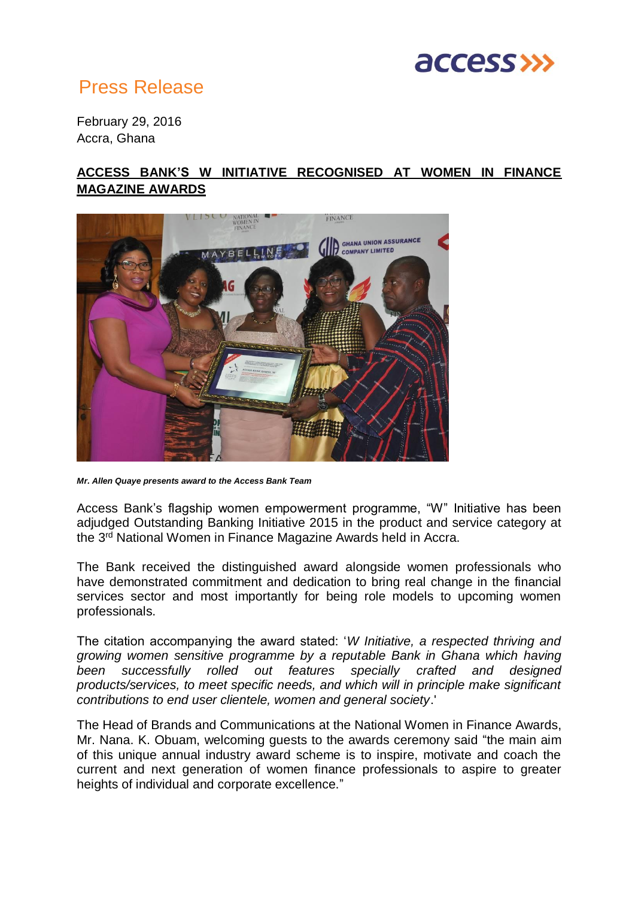

## Press Release

February 29, 2016 Accra, Ghana

## **ACCESS BANK'S W INITIATIVE RECOGNISED AT WOMEN IN FINANCE MAGAZINE AWARDS**



*Mr. Allen Quaye presents award to the Access Bank Team*

Access Bank's flagship women empowerment programme, "W" Initiative has been adjudged Outstanding Banking Initiative 2015 in the product and service category at the 3<sup>rd</sup> National Women in Finance Magazine Awards held in Accra.

The Bank received the distinguished award alongside women professionals who have demonstrated commitment and dedication to bring real change in the financial services sector and most importantly for being role models to upcoming women professionals.

The citation accompanying the award stated: '*W Initiative, a respected thriving and growing women sensitive programme by a reputable Bank in Ghana which having been successfully rolled out features specially crafted and designed products/services, to meet specific needs, and which will in principle make significant contributions to end user clientele, women and general society*.'

The Head of Brands and Communications at the National Women in Finance Awards, Mr. Nana. K. Obuam, welcoming guests to the awards ceremony said "the main aim of this unique annual industry award scheme is to inspire, motivate and coach the current and next generation of women finance professionals to aspire to greater heights of individual and corporate excellence."